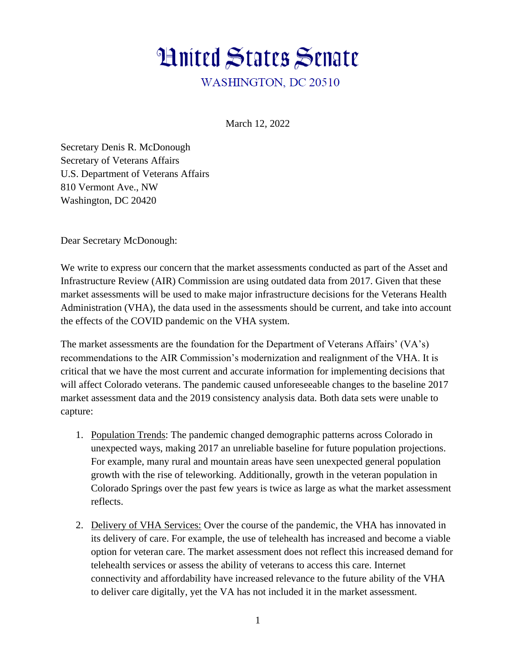

March 12, 2022

Secretary Denis R. McDonough Secretary of Veterans Affairs U.S. Department of Veterans Affairs 810 Vermont Ave., NW Washington, DC 20420

Dear Secretary McDonough:

We write to express our concern that the market assessments conducted as part of the Asset and Infrastructure Review (AIR) Commission are using outdated data from 2017. Given that these market assessments will be used to make major infrastructure decisions for the Veterans Health Administration (VHA), the data used in the assessments should be current, and take into account the effects of the COVID pandemic on the VHA system.

The market assessments are the foundation for the Department of Veterans Affairs' (VA's) recommendations to the AIR Commission's modernization and realignment of the VHA. It is critical that we have the most current and accurate information for implementing decisions that will affect Colorado veterans. The pandemic caused unforeseeable changes to the baseline 2017 market assessment data and the 2019 consistency analysis data. Both data sets were unable to capture:

- 1. Population Trends: The pandemic changed demographic patterns across Colorado in unexpected ways, making 2017 an unreliable baseline for future population projections. For example, many rural and mountain areas have seen unexpected general population growth with the rise of teleworking. Additionally, growth in the veteran population in Colorado Springs over the past few years is twice as large as what the market assessment reflects.
- 2. Delivery of VHA Services: Over the course of the pandemic, the VHA has innovated in its delivery of care. For example, the use of telehealth has increased and become a viable option for veteran care. The market assessment does not reflect this increased demand for telehealth services or assess the ability of veterans to access this care. Internet connectivity and affordability have increased relevance to the future ability of the VHA to deliver care digitally, yet the VA has not included it in the market assessment.